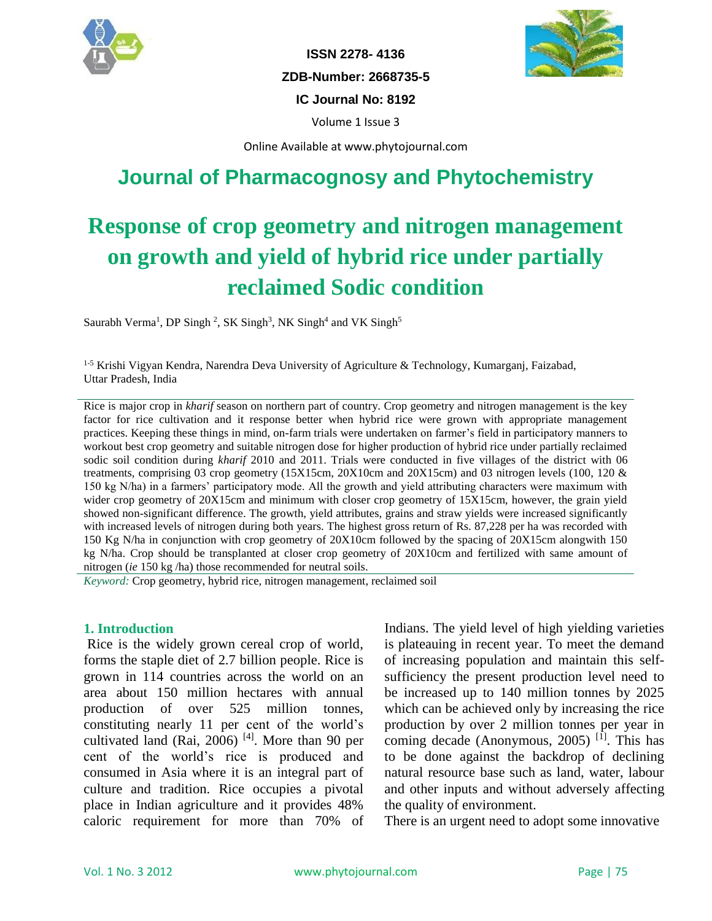

**ISSN 2278- 4136 ZDB-Number: 2668735-5 IC Journal No: 8192** Volume 1 Issue 3



Online Available at www.phytojournal.com

## **Journal of Pharmacognosy and Phytochemistry**

# **Response of crop geometry and nitrogen management on growth and yield of hybrid rice under partially reclaimed Sodic condition**

Saurabh Verma<sup>1</sup>, DP Singh<sup>2</sup>, SK Singh<sup>3</sup>, NK Singh<sup>4</sup> and VK Singh<sup>5</sup>

1-5 Krishi Vigyan Kendra, Narendra Deva University of Agriculture & Technology, Kumarganj, Faizabad, Uttar Pradesh, India

Rice is major crop in *kharif* season on northern part of country. Crop geometry and nitrogen management is the key factor for rice cultivation and it response better when hybrid rice were grown with appropriate management practices. Keeping these things in mind, on-farm trials were undertaken on farmer's field in participatory manners to workout best crop geometry and suitable nitrogen dose for higher production of hybrid rice under partially reclaimed sodic soil condition during *kharif* 2010 and 2011. Trials were conducted in five villages of the district with 06 treatments, comprising 03 crop geometry (15X15cm, 20X10cm and 20X15cm) and 03 nitrogen levels (100, 120 & 150 kg N/ha) in a farmers' participatory mode. All the growth and yield attributing characters were maximum with wider crop geometry of 20X15cm and minimum with closer crop geometry of 15X15cm, however, the grain yield showed non-significant difference. The growth, yield attributes, grains and straw yields were increased significantly with increased levels of nitrogen during both years. The highest gross return of Rs. 87,228 per ha was recorded with 150 Kg N/ha in conjunction with crop geometry of 20X10cm followed by the spacing of 20X15cm alongwith 150 kg N/ha. Crop should be transplanted at closer crop geometry of 20X10cm and fertilized with same amount of nitrogen (*ie* 150 kg /ha) those recommended for neutral soils.

*Keyword:* Crop geometry, hybrid rice, nitrogen management, reclaimed soil

#### **1. Introduction**

Rice is the widely grown cereal crop of world, forms the staple diet of 2.7 billion people. Rice is grown in 114 countries across the world on an area about 150 million hectares with annual production of over 525 million tonnes, constituting nearly 11 per cent of the world's cultivated land (Rai, 2006)<sup>[4]</sup>. More than 90 per cent of the world's rice is produced and consumed in Asia where it is an integral part of culture and tradition. Rice occupies a pivotal place in Indian agriculture and it provides 48% caloric requirement for more than 70% of Indians. The yield level of high yielding varieties is plateauing in recent year. To meet the demand of increasing population and maintain this selfsufficiency the present production level need to be increased up to 140 million tonnes by 2025 which can be achieved only by increasing the rice production by over 2 million tonnes per year in coming decade (Anonymous, 2005)<sup>[1]</sup>. This has to be done against the backdrop of declining natural resource base such as land, water, labour and other inputs and without adversely affecting the quality of environment.

There is an urgent need to adopt some innovative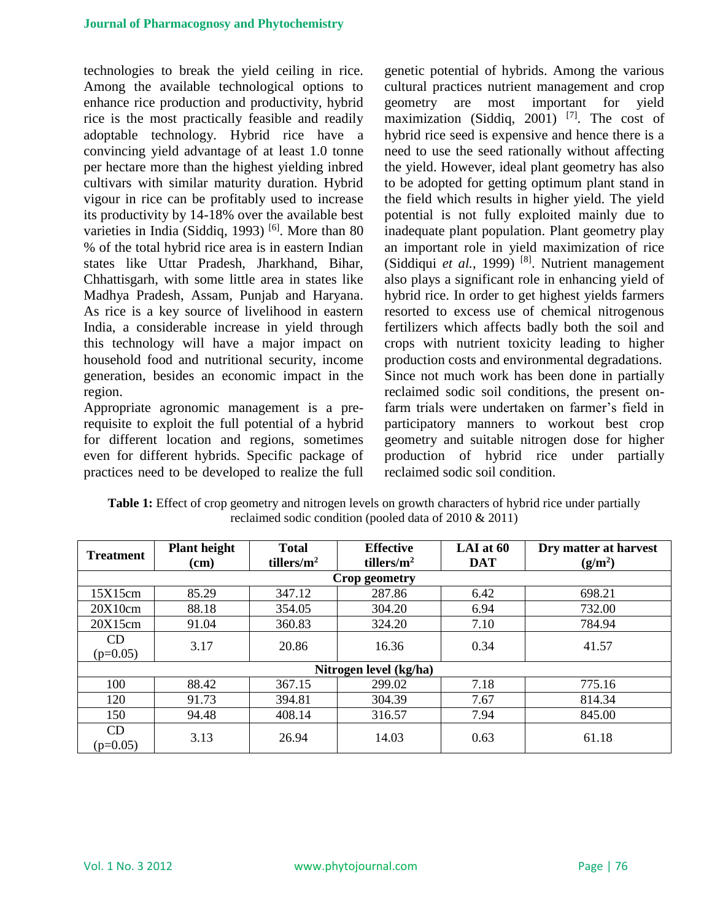technologies to break the yield ceiling in rice. Among the available technological options to enhance rice production and productivity, hybrid rice is the most practically feasible and readily adoptable technology. Hybrid rice have a convincing yield advantage of at least 1.0 tonne per hectare more than the highest yielding inbred cultivars with similar maturity duration. Hybrid vigour in rice can be profitably used to increase its productivity by 14-18% over the available best varieties in India (Siddiq, 1993)<sup>[6]</sup>. More than 80 % of the total hybrid rice area is in eastern Indian states like Uttar Pradesh, Jharkhand, Bihar, Chhattisgarh, with some little area in states like Madhya Pradesh, Assam, Punjab and Haryana. As rice is a key source of livelihood in eastern India, a considerable increase in yield through this technology will have a major impact on household food and nutritional security, income generation, besides an economic impact in the region.

Appropriate agronomic management is a prerequisite to exploit the full potential of a hybrid for different location and regions, sometimes even for different hybrids. Specific package of practices need to be developed to realize the full genetic potential of hybrids. Among the various cultural practices nutrient management and crop geometry are most important for yield maximization (Siddiq, 2001)<sup>[7]</sup>. The cost of hybrid rice seed is expensive and hence there is a need to use the seed rationally without affecting the yield. However, ideal plant geometry has also to be adopted for getting optimum plant stand in the field which results in higher yield. The yield potential is not fully exploited mainly due to inadequate plant population. Plant geometry play an important role in yield maximization of rice (Siddiqui et al., 1999)<sup>[8]</sup>. Nutrient management also plays a significant role in enhancing yield of hybrid rice. In order to get highest yields farmers resorted to excess use of chemical nitrogenous fertilizers which affects badly both the soil and crops with nutrient toxicity leading to higher production costs and environmental degradations. Since not much work has been done in partially reclaimed sodic soil conditions, the present onfarm trials were undertaken on farmer's field in participatory manners to workout best crop geometry and suitable nitrogen dose for higher production of hybrid rice under partially reclaimed sodic soil condition.

| <b>Treatment</b>        | <b>Plant height</b><br>$(cm)$ | <b>Total</b><br>tillers/ $m^2$ | <b>Effective</b><br>tillers/ $m^2$ | LAI at 60<br><b>DAT</b> | Dry matter at harvest<br>(g/m <sup>2</sup> ) |  |  |  |  |  |
|-------------------------|-------------------------------|--------------------------------|------------------------------------|-------------------------|----------------------------------------------|--|--|--|--|--|
| Crop geometry           |                               |                                |                                    |                         |                                              |  |  |  |  |  |
| 15X15cm                 | 85.29                         | 347.12                         | 287.86                             | 6.42                    | 698.21                                       |  |  |  |  |  |
| 20X10cm                 | 88.18                         | 354.05                         | 304.20                             | 6.94                    | 732.00                                       |  |  |  |  |  |
| 20X15cm                 | 91.04                         | 360.83                         | 324.20                             | 7.10                    | 784.94                                       |  |  |  |  |  |
| <b>CD</b><br>$(p=0.05)$ | 3.17                          | 20.86                          | 16.36                              | 0.34                    | 41.57                                        |  |  |  |  |  |
| Nitrogen level (kg/ha)  |                               |                                |                                    |                         |                                              |  |  |  |  |  |
| 100                     | 88.42                         | 367.15                         | 299.02                             | 7.18                    | 775.16                                       |  |  |  |  |  |
| 120                     | 91.73                         | 394.81                         | 304.39                             | 7.67                    | 814.34                                       |  |  |  |  |  |
| 150                     | 94.48                         | 408.14                         | 316.57                             | 7.94                    | 845.00                                       |  |  |  |  |  |
| CD<br>$(p=0.05)$        | 3.13                          | 26.94                          | 14.03                              | 0.63                    | 61.18                                        |  |  |  |  |  |

**Table 1:** Effect of crop geometry and nitrogen levels on growth characters of hybrid rice under partially reclaimed sodic condition (pooled data of 2010 & 2011)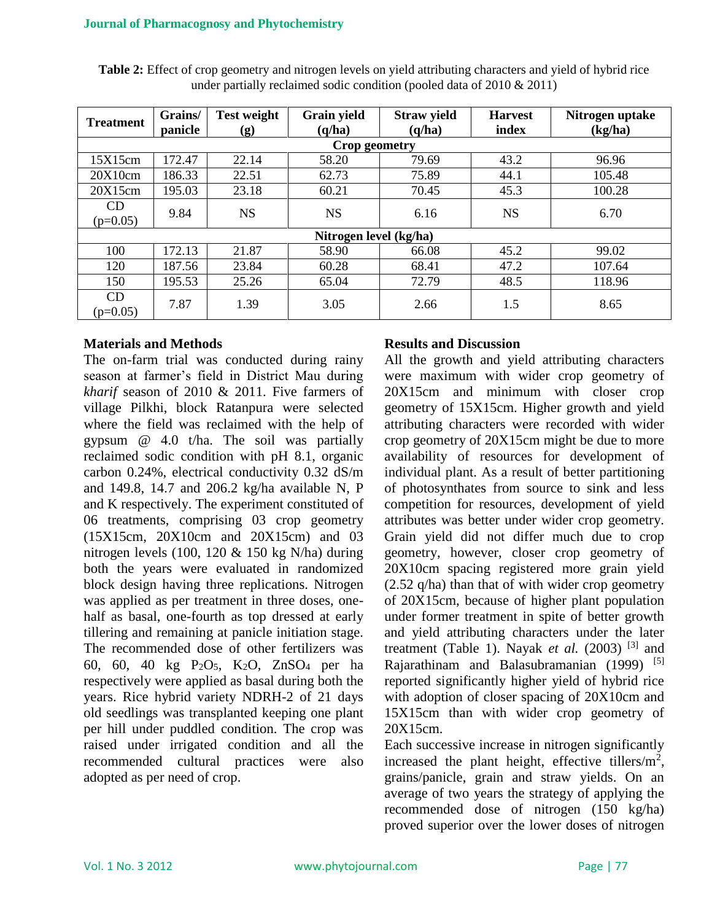| <b>Treatment</b>       | Grains/<br>panicle | <b>Test weight</b><br>(g) | <b>Grain yield</b><br>(q/ha) | <b>Straw yield</b><br>(q/ha) | <b>Harvest</b><br>index | Nitrogen uptake<br>(kg/ha) |  |  |  |  |
|------------------------|--------------------|---------------------------|------------------------------|------------------------------|-------------------------|----------------------------|--|--|--|--|
| Crop geometry          |                    |                           |                              |                              |                         |                            |  |  |  |  |
| 15X15cm                | 172.47             | 22.14                     | 58.20                        | 79.69                        | 43.2                    | 96.96                      |  |  |  |  |
| 20X10cm                | 186.33             | 22.51                     | 62.73                        | 75.89                        | 44.1                    | 105.48                     |  |  |  |  |
| 20X15cm                | 195.03             | 23.18                     | 60.21                        | 70.45                        | 45.3                    | 100.28                     |  |  |  |  |
| CD<br>$(p=0.05)$       | 9.84               | <b>NS</b>                 | <b>NS</b>                    | 6.16                         | <b>NS</b>               | 6.70                       |  |  |  |  |
| Nitrogen level (kg/ha) |                    |                           |                              |                              |                         |                            |  |  |  |  |
| 100                    | 172.13             | 21.87                     | 58.90                        | 66.08                        | 45.2                    | 99.02                      |  |  |  |  |
| 120                    | 187.56             | 23.84                     | 60.28                        | 68.41                        | 47.2                    | 107.64                     |  |  |  |  |
| 150                    | 195.53             | 25.26                     | 65.04                        | 72.79                        | 48.5                    | 118.96                     |  |  |  |  |
| CD<br>$(p=0.05)$       | 7.87               | 1.39                      | 3.05                         | 2.66                         | 1.5                     | 8.65                       |  |  |  |  |

**Table 2:** Effect of crop geometry and nitrogen levels on yield attributing characters and yield of hybrid rice under partially reclaimed sodic condition (pooled data of 2010 & 2011)

#### **Materials and Methods**

The on-farm trial was conducted during rainy season at farmer's field in District Mau during *kharif* season of 2010 & 2011. Five farmers of village Pilkhi, block Ratanpura were selected where the field was reclaimed with the help of gypsum @ 4.0 t/ha. The soil was partially reclaimed sodic condition with pH 8.1, organic carbon 0.24%, electrical conductivity 0.32 dS/m and 149.8, 14.7 and 206.2 kg/ha available N, P and K respectively. The experiment constituted of 06 treatments, comprising 03 crop geometry (15X15cm, 20X10cm and 20X15cm) and 03 nitrogen levels (100, 120 & 150 kg N/ha) during both the years were evaluated in randomized block design having three replications. Nitrogen was applied as per treatment in three doses, onehalf as basal, one-fourth as top dressed at early tillering and remaining at panicle initiation stage. The recommended dose of other fertilizers was 60, 60, 40 kg P2O5, K2O, ZnSO<sup>4</sup> per ha respectively were applied as basal during both the years. Rice hybrid variety NDRH-2 of 21 days old seedlings was transplanted keeping one plant per hill under puddled condition. The crop was raised under irrigated condition and all the recommended cultural practices were also adopted as per need of crop.

### **Results and Discussion**

All the growth and yield attributing characters were maximum with wider crop geometry of 20X15cm and minimum with closer crop geometry of 15X15cm. Higher growth and yield attributing characters were recorded with wider crop geometry of 20X15cm might be due to more availability of resources for development of individual plant. As a result of better partitioning of photosynthates from source to sink and less competition for resources, development of yield attributes was better under wider crop geometry. Grain yield did not differ much due to crop geometry, however, closer crop geometry of 20X10cm spacing registered more grain yield (2.52 q/ha) than that of with wider crop geometry of 20X15cm, because of higher plant population under former treatment in spite of better growth and yield attributing characters under the later treatment (Table 1). Nayak *et al.*  $(2003)$ <sup>[3]</sup> and Rajarathinam and Balasubramanian (1999) [5] reported significantly higher yield of hybrid rice with adoption of closer spacing of 20X10cm and 15X15cm than with wider crop geometry of 20X15cm.

Each successive increase in nitrogen significantly increased the plant height, effective tillers/ $m^2$ , grains/panicle, grain and straw yields. On an average of two years the strategy of applying the recommended dose of nitrogen (150 kg/ha) proved superior over the lower doses of nitrogen